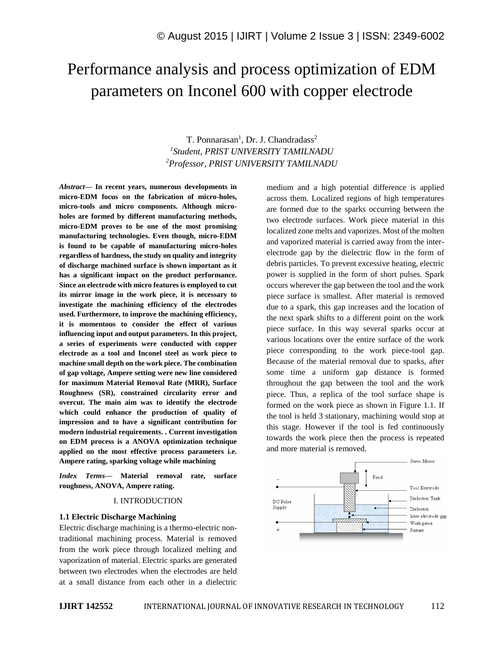# Performance analysis and process optimization of EDM parameters on Inconel 600 with copper electrode

# T. Ponnarasan<sup>1</sup>, Dr. J. Chandradass<sup>2</sup> *1 Student, PRIST UNIVERSITY TAMILNADU <sup>2</sup>Professor, PRIST UNIVERSITY TAMILNADU*

*Abstract—* **In recent years, numerous developments in micro-EDM focus on the fabrication of micro-holes, micro-tools and micro components. Although microholes are formed by different manufacturing methods, micro-EDM proves to be one of the most promising manufacturing technologies. Even though, micro-EDM is found to be capable of manufacturing micro-holes regardless of hardness, the study on quality and integrity of discharge machined surface is shown important as it has a significant impact on the product performance. Since an electrode with micro features is employed to cut its mirror image in the work piece, it is necessary to investigate the machining efficiency of the electrodes used. Furthermore, to improve the machining efficiency, it is momentous to consider the effect of various influencing input and output parameters. In this project, a series of experiments were conducted with copper electrode as a tool and Inconel steel as work piece to machine small depth on the work piece. The combination of gap voltage, Ampere setting were new line considered for maximum Material Removal Rate (MRR), Surface Roughness (SR), constrained circularity error and overcut. The main aim was to identify the electrode which could enhance the production of quality of impression and to have a significant contribution for modern industrial requirements. . Current investigation on EDM process is a ANOVA optimization technique applied on the most effective process parameters i.e. Ampere rating, sparking voltage while machining**

*Index Terms—* **Material removal rate, surface roughness, ANOVA, Ampere rating.**

#### I. INTRODUCTION

#### **1.1 Electric Discharge Machining**

Electric discharge machining is a thermo-electric nontraditional machining process. Material is removed from the work piece through localized melting and vaporization of material. Electric sparks are generated between two electrodes when the electrodes are held at a small distance from each other in a dielectric medium and a high potential difference is applied across them. Localized regions of high temperatures are formed due to the sparks occurring between the two electrode surfaces. Work piece material in this localized zone melts and vaporizes. Most of the molten and vaporized material is carried away from the interelectrode gap by the dielectric flow in the form of debris particles. To prevent excessive heating, electric power is supplied in the form of short pulses. Spark occurs wherever the gap between the tool and the work piece surface is smallest. After material is removed due to a spark, this gap increases and the location of the next spark shifts to a different point on the work piece surface. In this way several sparks occur at various locations over the entire surface of the work piece corresponding to the work piece-tool gap. Because of the material removal due to sparks, after some time a uniform gap distance is formed throughout the gap between the tool and the work piece. Thus, a replica of the tool surface shape is formed on the work piece as shown in Figure 1.1. If the tool is held 3 stationary, machining would stop at this stage. However if the tool is fed continuously towards the work piece then the process is repeated and more material is removed.

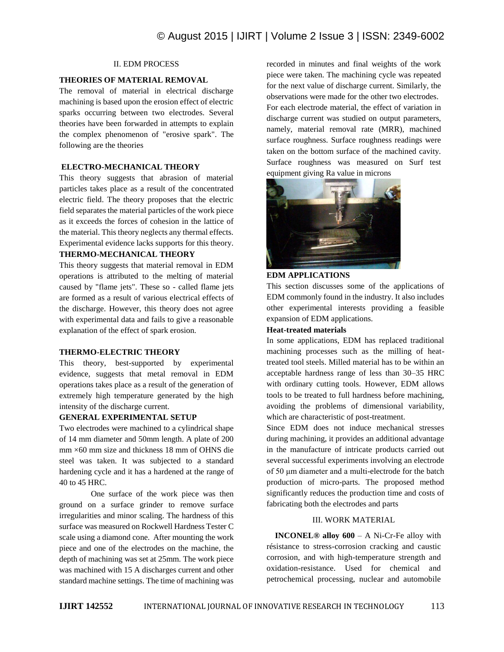# II. EDM PROCESS

## **THEORIES OF MATERIAL REMOVAL**

The removal of material in electrical discharge machining is based upon the erosion effect of electric sparks occurring between two electrodes. Several theories have been forwarded in attempts to explain the complex phenomenon of "erosive spark". The following are the theories

## **ELECTRO-MECHANICAL THEORY**

This theory suggests that abrasion of material particles takes place as a result of the concentrated electric field. The theory proposes that the electric field separates the material particles of the work piece as it exceeds the forces of cohesion in the lattice of the material. This theory neglects any thermal effects. Experimental evidence lacks supports for this theory.

## **THERMO-MECHANICAL THEORY**

This theory suggests that material removal in EDM operations is attributed to the melting of material caused by "flame jets". These so - called flame jets are formed as a result of various electrical effects of the discharge. However, this theory does not agree with experimental data and fails to give a reasonable explanation of the effect of spark erosion.

# **THERMO-ELECTRIC THEORY**

This theory, best-supported by experimental evidence, suggests that metal removal in EDM operations takes place as a result of the generation of extremely high temperature generated by the high intensity of the discharge current.

# **GENERAL EXPERIMENTAL SETUP**

Two electrodes were machined to a cylindrical shape of 14 mm diameter and 50mm length. A plate of 200  $mm \times 60$  mm size and thickness 18 mm of OHNS die steel was taken. It was subjected to a standard hardening cycle and it has a hardened at the range of 40 to 45 HRC.

One surface of the work piece was then ground on a surface grinder to remove surface irregularities and minor scaling. The hardness of this surface was measured on Rockwell Hardness Tester C scale using a diamond cone. After mounting the work piece and one of the electrodes on the machine, the depth of machining was set at 25mm. The work piece was machined with 15 A discharges current and other standard machine settings. The time of machining was recorded in minutes and final weights of the work piece were taken. The machining cycle was repeated for the next value of discharge current. Similarly, the observations were made for the other two electrodes. For each electrode material, the effect of variation in discharge current was studied on output parameters, namely, material removal rate (MRR), machined surface roughness. Surface roughness readings were taken on the bottom surface of the machined cavity. Surface roughness was measured on Surf test equipment giving Ra value in microns



#### **EDM APPLICATIONS**

This section discusses some of the applications of EDM commonly found in the industry. It also includes other experimental interests providing a feasible expansion of EDM applications.

## **Heat-treated materials**

In some applications, EDM has replaced traditional machining processes such as the milling of heattreated tool steels. Milled material has to be within an acceptable hardness range of less than 30–35 HRC with ordinary cutting tools. However, EDM allows tools to be treated to full hardness before machining, avoiding the problems of dimensional variability, which are characteristic of post-treatment.

Since EDM does not induce mechanical stresses during machining, it provides an additional advantage in the manufacture of intricate products carried out several successful experiments involving an electrode of 50 μm diameter and a multi-electrode for the batch production of micro-parts. The proposed method significantly reduces the production time and costs of fabricating both the electrodes and parts

# III. WORK MATERIAL

**INCONEL® alloy 600** – A Ni-Cr-Fe alloy with résistance to stress-corrosion cracking and caustic corrosion, and with high-temperature strength and oxidation-resistance. Used for chemical and petrochemical processing, nuclear and automobile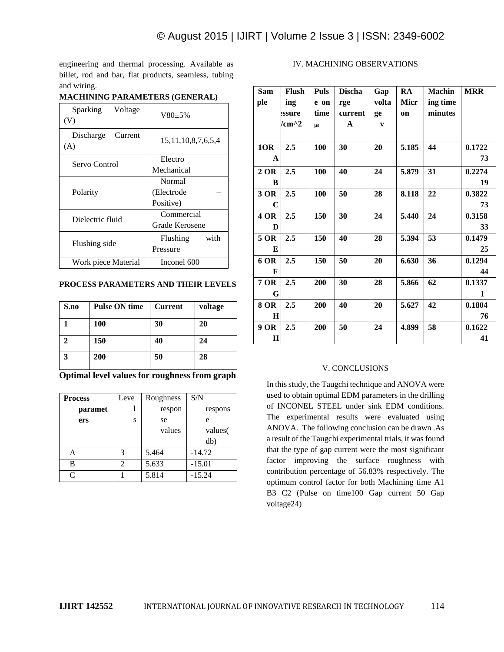engineering and thermal processing. Available as billet, rod and bar, flat products, seamless, tubing and wiring.

| Sparking<br>Voltage<br>(V)  | $V80+5%$                  |  |  |  |
|-----------------------------|---------------------------|--|--|--|
| Discharge<br>Current<br>(A) | 15, 11, 10, 8, 7, 6, 5, 4 |  |  |  |
| Servo Control               | Electro                   |  |  |  |
|                             | Mechanical                |  |  |  |
|                             | Normal                    |  |  |  |
| Polarity                    | (Electrode                |  |  |  |
|                             | Positive)                 |  |  |  |
| Dielectric fluid            | Commercial                |  |  |  |
|                             | Grade Kerosene            |  |  |  |
|                             | with<br>Flushing          |  |  |  |
| Flushing side               | Pressure                  |  |  |  |
| Work piece Material         | Inconel 600               |  |  |  |

# **MACHINING PARAMETERS (GENERAL)**

# **PROCESS PARAMETERS AND THEIR LEVELS**

| S.no | <b>Pulse ON time</b> | <b>Current</b> | voltage |
|------|----------------------|----------------|---------|
|      | 100                  | 30             | 20      |
|      | 150                  | 40             | 24      |
| 3    | 200                  | 50             | 28      |

**Optimal level values for roughness from graph**

| <b>Process</b>    | Leve           | Roughness | S/N      |  |
|-------------------|----------------|-----------|----------|--|
| paramet           |                | respon    | respons  |  |
| ers               | S              | se        | e        |  |
|                   |                | values    | values(  |  |
|                   |                |           | db)      |  |
| A                 | 3              | 5.464     | $-14.72$ |  |
| B                 | $\mathfrak{D}$ | 5.633     | $-15.01$ |  |
| $\mathsf{\Gamma}$ |                | 5.814     | $-15.24$ |  |

# IV. MACHINING OBSERVATIONS

| <b>Sam</b>  | <b>Flush</b> | <b>Puls</b> | <b>Discha</b> | Gap          | RA    | <b>Machin</b> | <b>MRR</b> |
|-------------|--------------|-------------|---------------|--------------|-------|---------------|------------|
| ple         | ing          | e on        | rge           | volta        | Micr  | ing time      |            |
|             | <b>ssure</b> | time        | current       | ge           | on    | minutes       |            |
|             | $\rm/cm^{2}$ | $\mu s$     | A             | $\mathbf{v}$ |       |               |            |
|             |              |             |               |              |       |               |            |
| 1OR         | 2.5          | 100         | 30            | 20           | 5.185 | 44            | 0.1722     |
| A           |              |             |               |              |       |               | 73         |
| 2 OR        | 2.5          | 100         | 40            | 24           | 5.879 | 31            | 0.2274     |
| B           |              |             |               |              |       |               | 19         |
| 3 OR        | 2.5          | 100         | 50            | 28           | 8.118 | 22            | 0.3822     |
| C           |              |             |               |              |       |               | 73         |
| <b>4 OR</b> | 2.5          | 150         | 30            | 24           | 5.440 | 24            | 0.3158     |
| D           |              |             |               |              |       |               | 33         |
| 5 OR        | 2.5          | 150         | 40            | 28           | 5.394 | 53            | 0.1479     |
| E           |              |             |               |              |       |               | 25         |
| 6 OR        | 2.5          | 150         | 50            | 20           | 6.630 | 36            | 0.1294     |
| F           |              |             |               |              |       |               | 44         |
| 7 OR        | 2.5          | 200         | 30            | 28           | 5.866 | 62            | 0.1337     |
| G           |              |             |               |              |       |               | 1          |
| 8 OR        | 2.5          | 200         | 40            | 20           | 5.627 | 42            | 0.1804     |
| $\bf H$     |              |             |               |              |       |               | 76         |
| 9 OR        | 2.5          | 200         | 50            | 24           | 4.899 | 58            | 0.1622     |
| H           |              |             |               |              |       |               | 41         |

# V. CONCLUSIONS

In this study, the Taugchi technique and ANOVA were used to obtain optimal EDM parameters in the drilling of INCONEL STEEL under sink EDM conditions. The experimental results were evaluated using ANOVA. The following conclusion can be drawn .As a result of the Taugchi experimental trials, it was found that the type of gap current were the most significant factor improving the surface roughness with contribution percentage of 56.83% respectively. The optimum control factor for both Machining time A1 B3 C2 (Pulse on time100 Gap current 50 Gap voltage24)